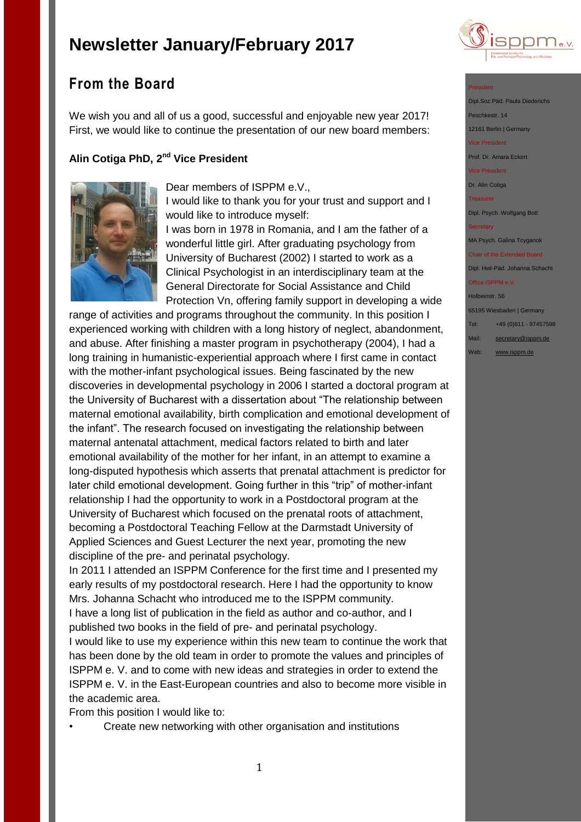

# **From the Board**

We wish you and all of us a good, successful and enjoyable new year 2017! First, we would like to continue the presentation of our new board members:

## **Alin Cotiga PhD, 2nd Vice President**



Dear members of ISPPM e.V.,

I would like to thank you for your trust and support and I would like to introduce myself:

I was born in 1978 in Romania, and I am the father of a wonderful little girl. After graduating psychology from University of Bucharest (2002) I started to work as a Clinical Psychologist in an interdisciplinary team at the General Directorate for Social Assistance and Child Protection Vn, offering family support in developing a wide

range of activities and programs throughout the community. In this position I experienced working with children with a long history of neglect, abandonment, and abuse. After finishing a master program in psychotherapy (2004), I had a long training in humanistic-experiential approach where I first came in contact with the mother-infant psychological issues. Being fascinated by the new discoveries in developmental psychology in 2006 I started a doctoral program at the University of Bucharest with a dissertation about "The relationship between maternal emotional availability, birth complication and emotional development of the infant". The research focused on investigating the relationship between maternal antenatal attachment, medical factors related to birth and later emotional availability of the mother for her infant, in an attempt to examine a long-disputed hypothesis which asserts that prenatal attachment is predictor for later child emotional development. Going further in this "trip" of mother-infant relationship I had the opportunity to work in a Postdoctoral program at the University of Bucharest which focused on the prenatal roots of attachment, becoming a Postdoctoral Teaching Fellow at the Darmstadt University of Applied Sciences and Guest Lecturer the next year, promoting the new discipline of the pre- and perinatal psychology.

In 2011 I attended an ISPPM Conference for the first time and I presented my early results of my postdoctoral research. Here I had the opportunity to know Mrs. Johanna Schacht who introduced me to the ISPPM community. I have a long list of publication in the field as author and co-author, and I published two books in the field of pre- and perinatal psychology.

I would like to use my experience within this new team to continue the work that has been done by the old team in order to promote the values and principles of ISPPM e. V. and to come with new ideas and strategies in order to extend the ISPPM e. V. in the East-European countries and also to become more visible in the academic area.

From this position I would like to:

• Create new networking with other organisation and institutions

#### President

Dipl.Soz.Päd. Paula Diederichs Peschkestr. 14

12161 Berlin | Germany

ice President

Prof. Dr. Amara Eckert

Vice President

Dr. Alin Cotiga

Treasurer

Dipl. Psych. Wolfgang Bott

MA Psych. Galina Tcyganok

Chair of the Extended Board Dipl. Heil-Päd. Johanna Schacht

Office ISPPM e.V.

Holbeinstr. 56

65195 Wiesbaden | Germany

Tel: +49 (0)611 - 97457598

- Mail: [secretary@isppm.de](mailto:secretary@isppm.de)
- Web: [www.isppm.de](http://www.isppm.de/)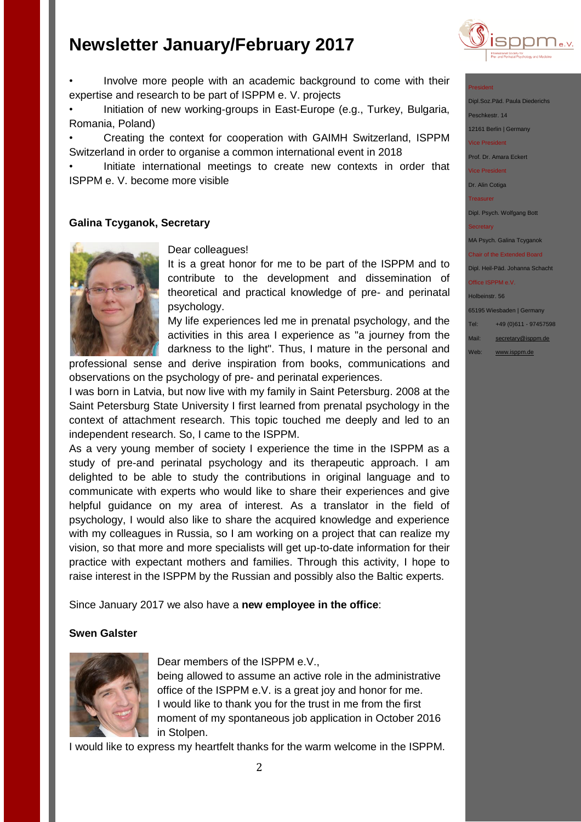

#### President

Dipl.Soz.Päd. Paula Diederichs Peschkestr. 14 12161 Berlin | Germany Vice President

Prof. Dr. Amara Eckert

Vice President

Dr. Alin Cotiga

**Treasurer** 

Dipl. Psych. Wolfgang Bott

**Secretary** 

MA Psych. Galina Tcyganok

Chair of the Extended Board Dipl. Heil-Päd. Johanna Schacht

Office ISPPM e.V.

Holbeinstr. 56

65195 Wiesbaden | Germany

Tel: +49 (0)611 - 97457598

Mail: [secretary@isppm.de](mailto:secretary@isppm.de)

Web: [www.isppm.de](http://www.isppm.de/)

• Involve more people with an academic background to come with their expertise and research to be part of ISPPM e. V. projects

• Initiation of new working-groups in East-Europe (e.g., Turkey, Bulgaria, Romania, Poland)

• Creating the context for cooperation with GAIMH Switzerland, ISPPM Switzerland in order to organise a common international event in 2018

• Initiate international meetings to create new contexts in order that ISPPM e. V. become more visible

### **Galina Tcyganok, Secretary**



Dear colleagues!

It is a great honor for me to be part of the ISPPM and to contribute to the development and dissemination of theoretical and practical knowledge of pre- and perinatal psychology.

My life experiences led me in prenatal psychology, and the activities in this area I experience as "a journey from the darkness to the light". Thus, I mature in the personal and

professional sense and derive inspiration from books, communications and observations on the psychology of pre- and perinatal experiences.

I was born in Latvia, but now live with my family in Saint Petersburg. 2008 at the Saint Petersburg State University I first learned from prenatal psychology in the context of attachment research. This topic touched me deeply and led to an independent research. So, I came to the ISPPM.

As a very young member of society I experience the time in the ISPPM as a study of pre-and perinatal psychology and its therapeutic approach. I am delighted to be able to study the contributions in original language and to communicate with experts who would like to share their experiences and give helpful guidance on my area of interest. As a translator in the field of psychology, I would also like to share the acquired knowledge and experience with my colleagues in Russia, so I am working on a project that can realize my vision, so that more and more specialists will get up-to-date information for their practice with expectant mothers and families. Through this activity, I hope to raise interest in the ISPPM by the Russian and possibly also the Baltic experts.

Since January 2017 we also have a **new employee in the office**:

### **Swen Galster**



Dear members of the ISPPM e.V.,

being allowed to assume an active role in the administrative office of the ISPPM e.V. is a great joy and honor for me. I would like to thank you for the trust in me from the first moment of my spontaneous job application in October 2016 in Stolpen.

I would like to express my heartfelt thanks for the warm welcome in the ISPPM.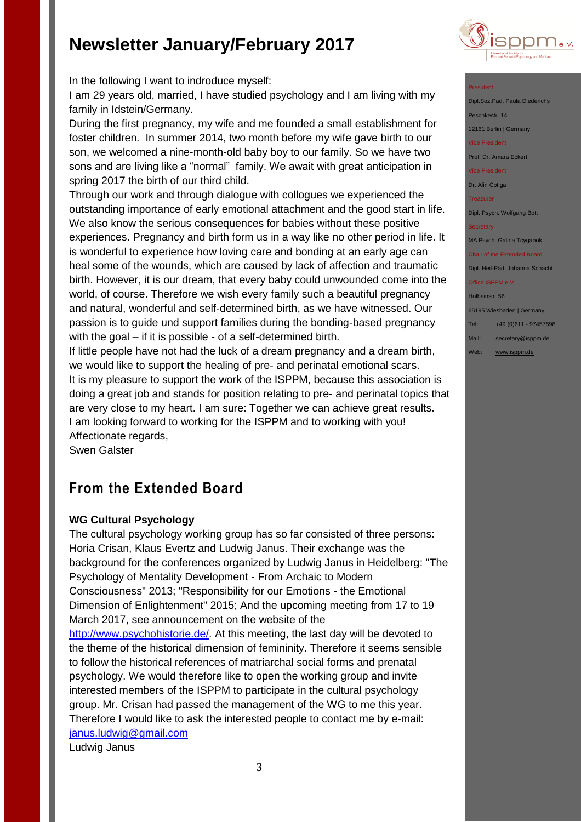

President

Dipl.Soz.Päd. Paula Diede eschkestr. 14

12161 Berlin | Germany

vice President

Prof. Dr. Amara Eckert

Vice President

Dr. Alin Cotiga

Treasurer

Dipl. Psych. Wolfgang Bott

**Secretary** 

MA Psych. Galina Tcyganok

Chair of the Extended Board Dipl. Heil-Päd. Johanna Schacht

Office ISPPM e.V.

Holbeinstr. 56

65195 Wiesbaden | Germany

Tel: +49 (0)611 - 97457598

- Mail: [secretary@isppm.de](mailto:secretary@isppm.de)
- Web: [www.isppm.de](http://www.isppm.de/)

In the following I want to indroduce myself:

I am 29 years old, married, I have studied psychology and I am living with my family in Idstein/Germany.

During the first pregnancy, my wife and me founded a small establishment for foster children. In summer 2014, two month before my wife gave birth to our son, we welcomed a nine-month-old baby boy to our family. So we have two sons and are living like a "normal" family. We await with great anticipation in spring 2017 the birth of our third child.

Through our work and through dialogue with collogues we experienced the outstanding importance of early emotional attachment and the good start in life. We also know the serious consequences for babies without these positive experiences. Pregnancy and birth form us in a way like no other period in life. It is wonderful to experience how loving care and bonding at an early age can heal some of the wounds, which are caused by lack of affection and traumatic birth. However, it is our dream, that every baby could unwounded come into the world, of course. Therefore we wish every family such a beautiful pregnancy and natural, wonderful and self-determined birth, as we have witnessed. Our passion is to guide und support families during the bonding-based pregnancy with the goal – if it is possible - of a self-determined birth.

If little people have not had the luck of a dream pregnancy and a dream birth, we would like to support the healing of pre- and perinatal emotional scars. It is my pleasure to support the work of the ISPPM, because this association is doing a great job and stands for position relating to pre- and perinatal topics that are very close to my heart. I am sure: Together we can achieve great results. I am looking forward to working for the ISPPM and to working with you! Affectionate regards,

Swen Galster

# **From the Extended Board**

## **WG Cultural Psychology**

The cultural psychology working group has so far consisted of three persons: Horia Crisan, Klaus Evertz and Ludwig Janus. Their exchange was the background for the conferences organized by Ludwig Janus in Heidelberg: "The Psychology of Mentality Development - From Archaic to Modern Consciousness" 2013; "Responsibility for our Emotions - the Emotional Dimension of Enlightenment" 2015; And the upcoming meeting from 17 to 19 March 2017, see announcement on the website of the [http://www.psychohistorie.de/.](http://www.psychohistorie.de/) At this meeting, the last day will be devoted to the theme of the historical dimension of femininity. Therefore it seems sensible to follow the historical references of matriarchal social forms and prenatal psychology. We would therefore like to open the working group and invite interested members of the ISPPM to participate in the cultural psychology group. Mr. Crisan had passed the management of the WG to me this year. Therefore I would like to ask the interested people to contact me by e-mail: [janus.ludwig@gmail.com](mailto:janus.ludwig@gmail.com)

Ludwig Janus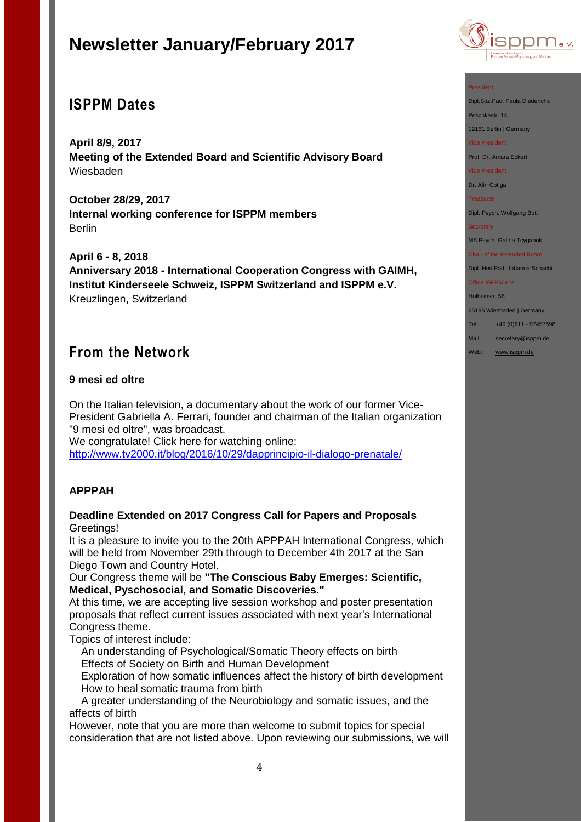# **ISPPM Dates**

**April 8/9, 2017 Meeting of the Extended Board and Scientific Advisory Board** Wiesbaden

**October 28/29, 2017 Internal working conference for ISPPM members** Berlin

**April 6 - 8, 2018 Anniversary 2018 - International Cooperation Congress with GAIMH, Institut Kinderseele Schweiz, ISPPM Switzerland and ISPPM e.V.** Kreuzlingen, Switzerland

# **From the Network**

### **9 mesi ed oltre**

On the Italian television, a documentary about the work of our former Vice-President Gabriella A. Ferrari, founder and chairman of the Italian organization "9 mesi ed oltre", was broadcast.

We congratulate! Click here for watching online: <http://www.tv2000.it/blog/2016/10/29/dapprincipio-il-dialogo-prenatale/>

## **APPPAH**

### **Deadline Extended on 2017 Congress Call for Papers and Proposals** Greetings!

It is a pleasure to invite you to the 20th APPPAH International Congress, which will be held from November 29th through to December 4th 2017 at the San Diego Town and Country Hotel.

Our Congress theme will be **"The Conscious Baby Emerges: Scientific, Medical, Pyschosocial, and Somatic Discoveries."**

At this time, we are accepting live session workshop and poster presentation proposals that reflect current issues associated with next year's International Congress theme.

Topics of interest include:

 An understanding of Psychological/Somatic Theory effects on birth Effects of Society on Birth and Human Development

 Exploration of how somatic influences affect the history of birth development How to heal somatic trauma from birth

 A greater understanding of the Neurobiology and somatic issues, and the affects of birth

However, note that you are more than welcome to submit topics for special consideration that are not listed above. Upon reviewing our submissions, we will



#### President

Dipl.Soz.Päd. Paula Diederichs

Peschkestr. 14

12161 Berlin | Germany

Vice President

Prof. Dr. Amara Eckert

Vice President

Dr. Alin Cotiga

Treasurer

Dipl. Psych. Wolfgang Bott

#### **Secretary**

MA Psych. Galina Tcyganok

Chair of the Extended Board Dipl. Heil-Päd. Johanna Schacht

Office ISPPM e.V.

Holbeinstr. 56

65195 Wiesbaden | Germany

Tel: +49 (0)611 - 97457598

Mail: [secretary@isppm.de](mailto:secretary@isppm.de)

Web: [www.isppm.de](http://www.isppm.de/)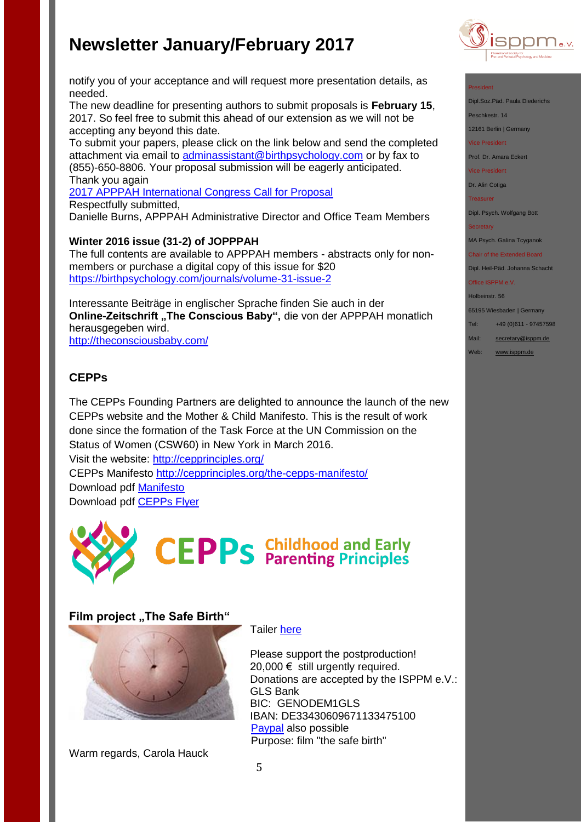

#### President

Dipl.Soz.Päd. Paula Diederichs

Peschkestr. 14

12161 Berlin | Germany

Vice President

Prof. Dr. Amara Eckert

Vice President

Dr. Alin Cotiga

Treasurer

Dipl. Psych. Wolfgang Bott

#### **Secretary**

MA Psych. Galina Tcyganok

Chair of the Extended Board Dipl. Heil-Päd. Johanna Schacht

Office ISPPM e.V.

#### Holbeinstr. 56

65195 Wiesbaden | Germany

Tel: +49 (0)611 - 97457598

Mail: [secretary@isppm.de](mailto:secretary@isppm.de)

Web: [www.isppm.de](http://www.isppm.de/)

notify you of your acceptance and will request more presentation details, as needed.

The new deadline for presenting authors to submit proposals is **February 15**, 2017. So feel free to submit this ahead of our extension as we will not be accepting any beyond this date.

To submit your papers, please click on the link below and send the completed attachment via email to [adminassistant@birthpsychology.com](mailto:adminassistant@birthpsychology.com) or by fax to (855)-650-8806. Your proposal submission will be eagerly anticipated. Thank you again

[2017 APPPAH International Congress Call for Proposal](http://files.constantcontact.com/fb3f85b9001/8582d975-a8a5-4b7d-881a-07d043a425fc.pdf) Respectfully submitted, Danielle Burns, APPPAH Administrative Director and Office Team Members

### **Winter 2016 issue (31-2) of JOPPPAH**

The full contents are available to APPPAH members - abstracts only for nonmembers or purchase a digital copy of this issue for \$20 <https://birthpsychology.com/journals/volume-31-issue-2>

Interessante Beiträge in englischer Sprache finden Sie auch in der **Online-Zeitschrift "The Conscious Baby", die von der APPPAH monatlich** herausgegeben wird.

<http://theconsciousbaby.com/>

## **CEPPs**

The CEPPs Founding Partners are delighted to announce the launch of the new CEPPs website and the Mother & Child Manifesto. This is the result of work done since the formation of the Task Force at the UN Commission on the Status of Women (CSW60) in New York in March 2016. Visit the website: <http://cepprinciples.org/>

CEPPs Manifesto<http://cepprinciples.org/the-cepps-manifesto/>

Download pdf [Manifesto](http://4205ue3shx073sta912mhsbl.wpengine.netdna-cdn.com/wp-content/uploads/2016/11/CEPPs-Manifesto-2016-11-15.pdf) Download pdf [CEPPs Flyer](http://4205ue3shx073sta912mhsbl.wpengine.netdna-cdn.com/wp-content/uploads/2016/10/CEPPs-Flyer-Nov-2016.pdf)



## **Film project "The Safe Birth"**



Warm regards, Carola Hauck

#### Tailer [here](http://www.thesafebirth.com/)

Please support the postproduction! 20,000  $€$  still urgently required. Donations are accepted by the ISPPM e.V.: GLS Bank BIC: GENODEM1GLS IBAN: DE33430609671133475100 [Paypal](http://www.isppm.de/en/) also possible Purpose: film "the safe birth"

5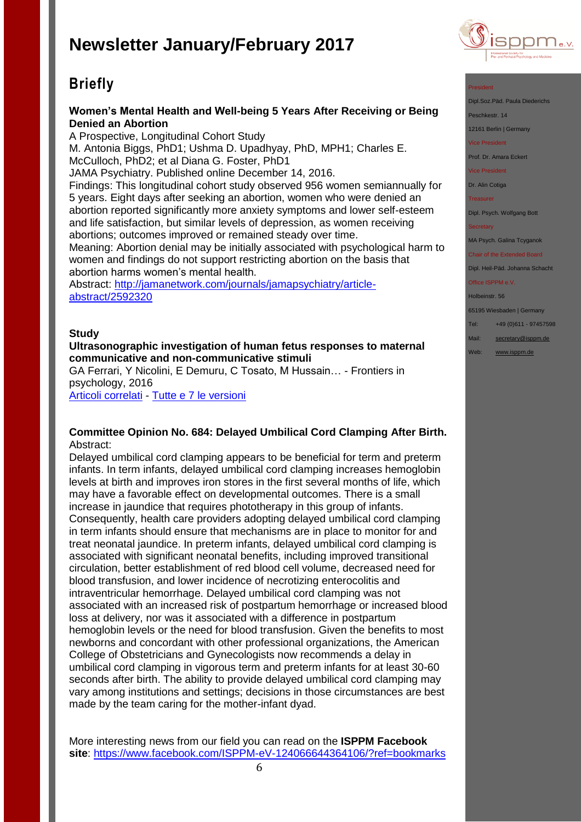# **Briefly**

### **Women's Mental Health and Well-being 5 Years After Receiving or Being Denied an Abortion**

A Prospective, Longitudinal Cohort Study M. Antonia Biggs, PhD1; Ushma D. Upadhyay, PhD, MPH1; Charles E. McCulloch, PhD2; et al Diana G. Foster, PhD1 JAMA Psychiatry. Published online December 14, 2016. Findings: This longitudinal cohort study observed 956 women semiannually for 5 years. Eight days after seeking an abortion, women who were denied an abortion reported significantly more anxiety symptoms and lower self-esteem and life satisfaction, but similar levels of depression, as women receiving abortions; outcomes improved or remained steady over time. Meaning: Abortion denial may be initially associated with psychological harm to women and findings do not support restricting abortion on the basis that abortion harms women's mental health. Abstract: [http://jamanetwork.com/journals/jamapsychiatry/article-](http://jamanetwork.com/journals/jamapsychiatry/article-abstract/2592320)

[abstract/2592320](http://jamanetwork.com/journals/jamapsychiatry/article-abstract/2592320)

#### **Study**

#### **Ultrasonographic investigation of human fetus responses to maternal communicative and non-communicative stimuli**

GA Ferrari, Y Nicolini, E Demuru, C Tosato, M Hussain… - Frontiers in psychology, 2016 [Articoli correlati](http://scholar.google.it/scholar?oi=bibs&hl=it&q=related:BpAFY5WXDwgJ:scholar.google.com/) - [Tutte e 7 le versioni](http://scholar.google.it/scholar?oi=bibs&hl=it&cluster=580849544821313542)

#### **Committee Opinion No. 684: Delayed Umbilical Cord Clamping After Birth.** Abstract:

Delayed umbilical cord clamping appears to be beneficial for term and preterm infants. In term infants, delayed umbilical cord clamping increases hemoglobin levels at birth and improves iron stores in the first several months of life, which may have a favorable effect on developmental outcomes. There is a small increase in jaundice that requires phototherapy in this group of infants. Consequently, health care providers adopting delayed umbilical cord clamping in term infants should ensure that mechanisms are in place to monitor for and treat neonatal jaundice. In preterm infants, delayed umbilical cord clamping is associated with significant neonatal benefits, including improved transitional circulation, better establishment of red blood cell volume, decreased need for blood transfusion, and lower incidence of necrotizing enterocolitis and intraventricular hemorrhage. Delayed umbilical cord clamping was not associated with an increased risk of postpartum hemorrhage or increased blood loss at delivery, nor was it associated with a difference in postpartum hemoglobin levels or the need for blood transfusion. Given the benefits to most newborns and concordant with other professional organizations, the American College of Obstetricians and Gynecologists now recommends a delay in umbilical cord clamping in vigorous term and preterm infants for at least 30-60 seconds after birth. The ability to provide delayed umbilical cord clamping may vary among institutions and settings; decisions in those circumstances are best made by the team caring for the mother-infant dyad.

More interesting news from our field you can read on the **ISPPM Facebook site**:<https://www.facebook.com/ISPPM-eV-124066644364106/?ref=bookmarks>



#### President

- Dipl.Soz.Päd. Paula Diederichs
- Peschkestr. 14

12161 Berlin | Germany

vice President

Prof. Dr. Amara Eckert

Vice President

Dr. Alin Cotiga

Treasurer

Dipl. Psych. Wolfgang Bott

MA Psych. Galina Tcyganok

Chair of the Extended Board Dipl. Heil-Päd. Johanna Schacht

Office ISPPM e.V.

Holbeinstr. 56

65195 Wiesbaden | Germany

Tel: +49 (0)611 - 97457598

Mail: [secretary@isppm.de](mailto:secretary@isppm.de)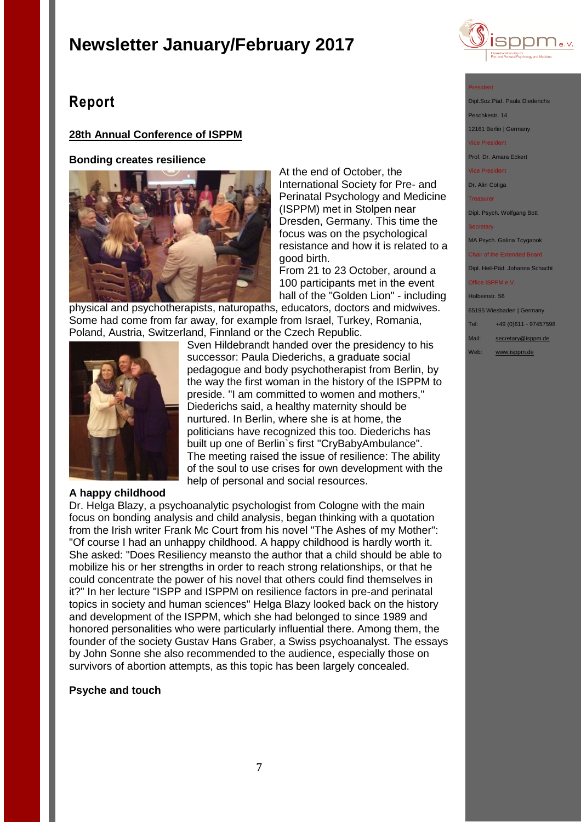

## **Report**

### **28th Annual Conference of ISPPM**

#### **Bonding creates resilience**



At the end of October, the International Society for Pre- and Perinatal Psychology and Medicine (ISPPM) met in Stolpen near Dresden, Germany. This time the focus was on the psychological resistance and how it is related to a good birth.

From 21 to 23 October, around a 100 participants met in the event hall of the "Golden Lion" - including

physical and psychotherapists, naturopaths, educators, doctors and midwives. Some had come from far away, for example from Israel, Turkey, Romania, Poland, Austria, Switzerland, Finnland or the Czech Republic.



Sven Hildebrandt handed over the presidency to his successor: Paula Diederichs, a graduate social pedagogue and body psychotherapist from Berlin, by the way the first woman in the history of the ISPPM to preside. "I am committed to women and mothers," Diederichs said, a healthy maternity should be nurtured. In Berlin, where she is at home, the politicians have recognized this too. Diederichs has built up one of Berlin`s first "CryBabyAmbulance". The meeting raised the issue of resilience: The ability of the soul to use crises for own development with the help of personal and social resources.

#### **A happy childhood**

Dr. Helga Blazy, a psychoanalytic psychologist from Cologne with the main focus on bonding analysis and child analysis, began thinking with a quotation from the Irish writer Frank Mc Court from his novel "The Ashes of my Mother": "Of course I had an unhappy childhood. A happy childhood is hardly worth it. She asked: "Does Resiliency meansto the author that a child should be able to mobilize his or her strengths in order to reach strong relationships, or that he could concentrate the power of his novel that others could find themselves in it?" In her lecture "ISPP and ISPPM on resilience factors in pre-and perinatal topics in society and human sciences" Helga Blazy looked back on the history and development of the ISPPM, which she had belonged to since 1989 and honored personalities who were particularly influential there. Among them, the founder of the society Gustav Hans Graber, a Swiss psychoanalyst. The essays by John Sonne she also recommended to the audience, especially those on survivors of abortion attempts, as this topic has been largely concealed.

#### **Psyche and touch**

#### President

Dipl.Soz.Päd. Paula Dieder

eschkestr. 14

12161 Berlin | Germany vice President<br>Tice President

Prof. Dr. Amara Eckert

Vice President

Dr. Alin Cotiga

Treasurer

Dipl. Psych. Wolfgang Bott

MA Psych. Galina Tcyganok

Chair of the Extended Board Dipl. Heil-Päd. Johanna Schacht

Office ISPPM e.V.

Holbeinstr. 56

65195 Wiesbaden | Germany

Tel: +49 (0)611 - 97457598

Mail: [secretary@isppm.de](mailto:secretary@isppm.de)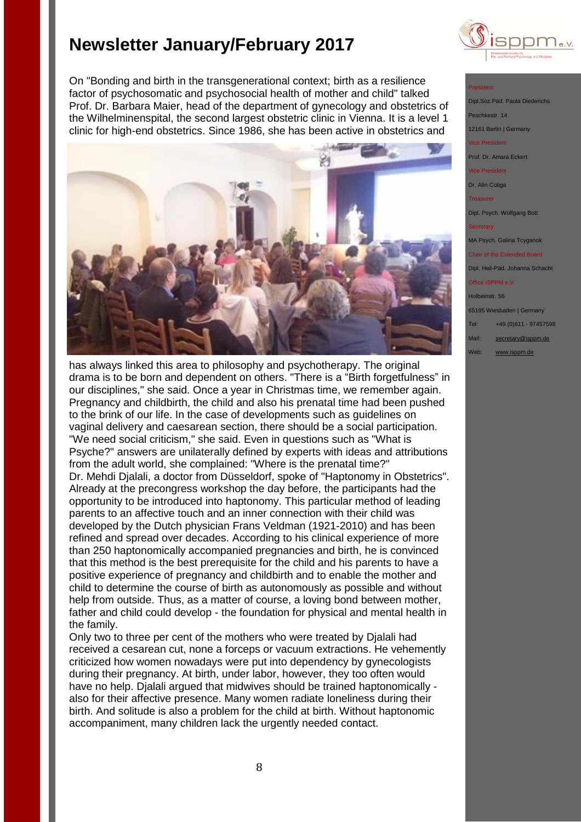On "Bonding and birth in the transgenerational context; birth as a resilience factor of psychosomatic and psychosocial health of mother and child" talked Prof. Dr. Barbara Maier, head of the department of gynecology and obstetrics of the Wilhelminenspital, the second largest obstetric clinic in Vienna. It is a level 1 clinic for high-end obstetrics. Since 1986, she has been active in obstetrics and



has always linked this area to philosophy and psychotherapy. The original drama is to be born and dependent on others. "There is a "Birth forgetfulness" in our disciplines," she said. Once a year in Christmas time, we remember again. Pregnancy and childbirth, the child and also his prenatal time had been pushed to the brink of our life. In the case of developments such as guidelines on vaginal delivery and caesarean section, there should be a social participation. "We need social criticism," she said. Even in questions such as "What is Psyche?" answers are unilaterally defined by experts with ideas and attributions from the adult world, she complained: "Where is the prenatal time?" Dr. Mehdi Djalali, a doctor from Düsseldorf, spoke of "Haptonomy in Obstetrics". Already at the precongress workshop the day before, the participants had the opportunity to be introduced into haptonomy. This particular method of leading parents to an affective touch and an inner connection with their child was developed by the Dutch physician Frans Veldman (1921-2010) and has been refined and spread over decades. According to his clinical experience of more than 250 haptonomically accompanied pregnancies and birth, he is convinced that this method is the best prerequisite for the child and his parents to have a positive experience of pregnancy and childbirth and to enable the mother and child to determine the course of birth as autonomously as possible and without help from outside. Thus, as a matter of course, a loving bond between mother, father and child could develop - the foundation for physical and mental health in the family.

Only two to three per cent of the mothers who were treated by Djalali had received a cesarean cut, none a forceps or vacuum extractions. He vehemently criticized how women nowadays were put into dependency by gynecologists during their pregnancy. At birth, under labor, however, they too often would have no help. Djalali argued that midwives should be trained haptonomically also for their affective presence. Many women radiate loneliness during their birth. And solitude is also a problem for the child at birth. Without haptonomic accompaniment, many children lack the urgently needed contact.



#### President

Dipl.Soz.Päd. Paula Died eschkestr. 14

12161 Berlin | Germany

Vice President Prof. Dr. Amara Eckert

Vice President

Dr. Alin Cotiga

Treasurer

Dipl. Psych. Wolfgang Bott

Secretary

MA Psych. Galina Tcyganok

Chair of the Extended Board Dipl. Heil-Päd. Johanna Schacht

**Office ISPPM e.V** 

Holbeinstr. 56 65195 Wiesbaden | Germany Tel: +49 (0)611 - 97457598 Mail: [secretary@isppm.de](mailto:secretary@isppm.de) Web: [www.isppm.de](http://www.isppm.de/)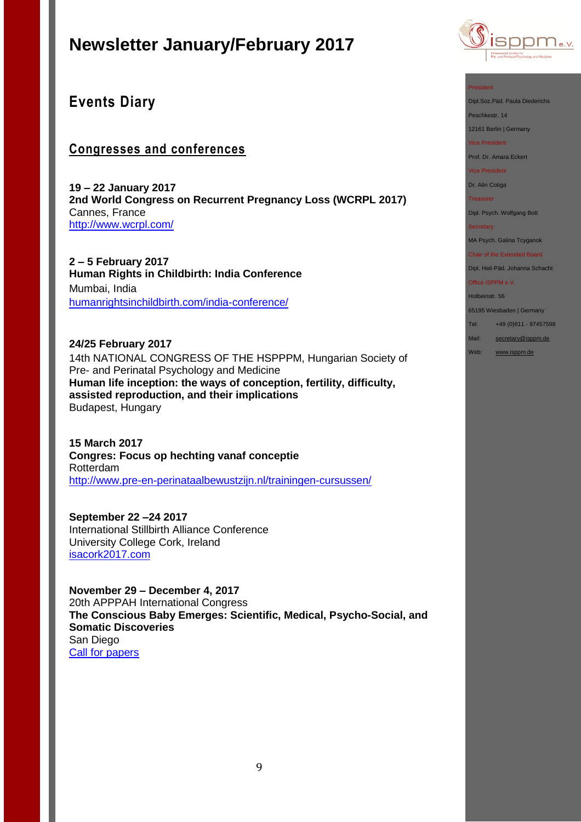

## **Events Diary**

## **Congresses and conferences**

**19 – 22 January 2017 2nd World Congress on Recurrent Pregnancy Loss (WCRPL 2017)** Cannes, France <http://www.wcrpl.com/>

**2 – 5 February 2017 Human Rights in Childbirth: India Conference** Mumbai, India [humanrightsinchildbirth.com/india-conference/](http://humanrightsinchildbirth.com/india-conference/)

**24/25 February 2017** 14th NATIONAL CONGRESS OF THE HSPPPM, Hungarian Society of Pre- and Perinatal Psychology and Medicine **Human life inception: the ways of conception, fertility, difficulty, assisted reproduction, and their implications**  Budapest, Hungary

**15 March 2017 Congres: Focus op hechting vanaf conceptie** Rotterdam <http://www.pre-en-perinataalbewustzijn.nl/trainingen-cursussen/>

**September 22 –24 2017** International Stillbirth Alliance Conference University College Cork, Ireland [isacork2017.com](http://stillbirthalliance.us6.list-manage.com/track/click?u=811549f73d7f344e10a813f47&id=ca40d537d4&e=19741be71a)

**November 29 – December 4, 2017** 20th APPPAH International Congress **The Conscious Baby Emerges: Scientific, Medical, Psycho-Social, and Somatic Discoveries** San Diego [Call for papers](http://files.constantcontact.com/fb3f85b9001/8582d975-a8a5-4b7d-881a-07d043a425fc.pdf) 

#### President

Dipl.Soz.Päd. Paula Diederichs

Peschkestr. 14

12161 Berlin | Germany

Vice President

Prof. Dr. Amara Eckert

Vice President

Dr. Alin Cotiga

Treasurer

Dipl. Psych. Wolfgang Bott

**Secretary** 

MA Psych. Galina Tcyganok

Chair of the Extended Board Dipl. Heil-Päd. Johanna Schacht

Office ISPPM e.V.

Holbeinstr. 56

65195 Wiesbaden | Germany

Tel: +49 (0)611 - 97457598

Mail: [secretary@isppm.de](mailto:secretary@isppm.de)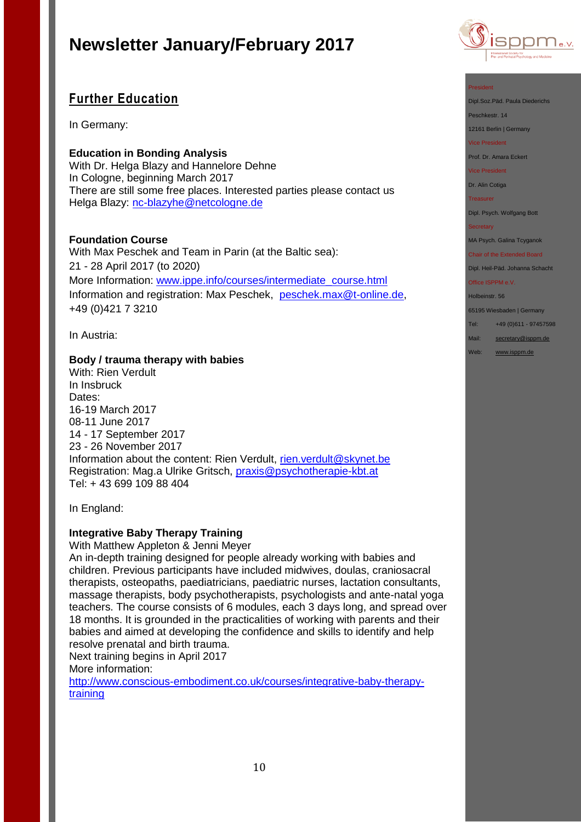## **Further Education**

In Germany:

**Education in Bonding Analysis** With Dr. Helga Blazy and Hannelore Dehne In Cologne, beginning March 2017 There are still some free places. Interested parties please contact us Helga Blazy: [nc-blazyhe@netcologne.de](mailto:nc-blazyhe@netcologne.de)

### **Foundation Course**

With Max Peschek and Team in Parin (at the Baltic sea): 21 - 28 April 2017 (to 2020) More Information: [www.ippe.info/courses/intermediate\\_course.html](../ISPPM%20e.V/Rundbriefe/www.ippe.info/courses/intermediate_course.html) Information and registration: Max Peschek, [peschek.max@t-online.de,](mailto:peschek.max@t-online.de) +49 (0)421 7 3210

In Austria:

#### **Body / trauma therapy with babies**

With: Rien Verdult In Insbruck Dates: 16-19 March 2017 08-11 June 2017 14 - 17 September 2017 23 - 26 November 2017 Information about the content: Rien Verdult, [rien.verdult@skynet.be](mailto:rien.verdult@skynet.be) Registration: Mag.a Ulrike Gritsch, [praxis@psychotherapie-kbt.at](mailto:praxis@psychotherapie-kbt.at) Tel: + 43 699 109 88 404

In England:

### **Integrative Baby Therapy Training**

With Matthew Appleton & Jenni Meyer

An in-depth training designed for people already working with babies and children. Previous participants have included midwives, doulas, craniosacral therapists, osteopaths, paediatricians, paediatric nurses, lactation consultants, massage therapists, body psychotherapists, psychologists and ante-natal yoga teachers. The course consists of 6 modules, each 3 days long, and spread over 18 months. It is grounded in the practicalities of working with parents and their babies and aimed at developing the confidence and skills to identify and help resolve prenatal and birth trauma.

Next training begins in April 2017

More information:

[http://www.conscious-embodiment.co.uk/courses/integrative-baby-therapy](http://www.conscious-embodiment.co.uk/courses/integrative-baby-therapy-training)[training](http://www.conscious-embodiment.co.uk/courses/integrative-baby-therapy-training)



#### President

Dipl.Soz.Päd. Paula Diederichs

Peschkestr. 14

12161 Berlin | Germany

Vice President

Prof. Dr. Amara Eckert

Vice President

Dr. Alin Cotiga

Treasurer

Dipl. Psych. Wolfgang Bott

#### **Secretary**

MA Psych. Galina Tcyganok

Chair of the Extended Board Dipl. Heil-Päd. Johanna Schacht

Office ISPPM e.V.

Holbeinstr. 56

65195 Wiesbaden | Germany

Tel: +49 (0)611 - 97457598

Mail: [secretary@isppm.de](mailto:secretary@isppm.de)

Web: [www.isppm.de](http://www.isppm.de/)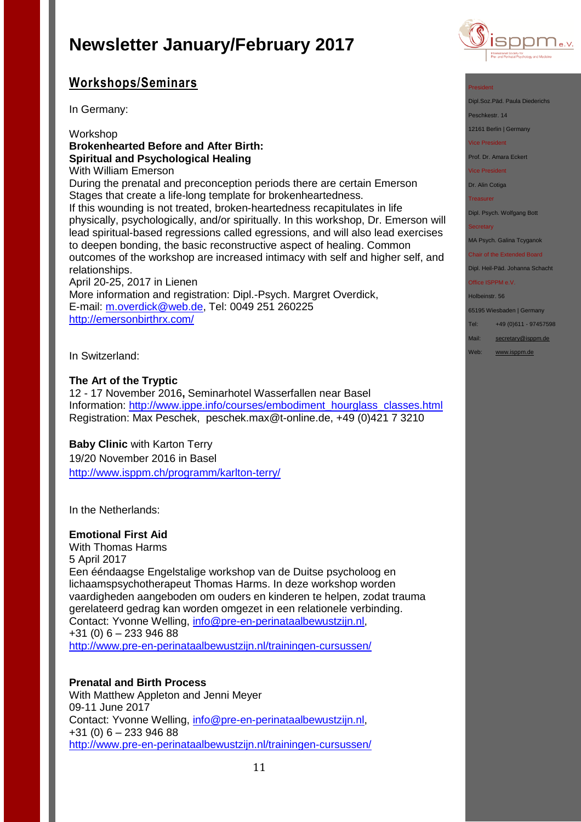## **Workshops/Seminars**

In Germany:

### Workshop **Brokenhearted Before and After Birth: Spiritual and Psychological Healing**

With William Emerson

During the prenatal and preconception periods there are certain Emerson Stages that create a life-long template for brokenheartedness. If this wounding is not treated, broken-heartedness recapitulates in life

physically, psychologically, and/or spiritually. In this workshop, Dr. Emerson will lead spiritual-based regressions called egressions, and will also lead exercises to deepen bonding, the basic reconstructive aspect of healing. Common outcomes of the workshop are increased intimacy with self and higher self, and relationships.

April 20-25, 2017 in Lienen More information and registration: Dipl.-Psych. Margret Overdick, E-mail: [m.overdick@web.de,](mailto:m.overdick@web.de) Tel: 0049 251 260225 <http://emersonbirthrx.com/>

In Switzerland:

### **The Art of the Tryptic**

12 - 17 November 2016**,** Seminarhotel Wasserfallen near Basel Information: http://www.ippe.info/courses/embodiment\_hourglass\_classes.html Registration: Max Peschek, [peschek.max@t-online.de,](mailto:peschek.max@t-online.de) +49 (0)421 7 3210

### **Baby Clinic** with Karton Terry

19/20 November 2016 in Basel <http://www.isppm.ch/programm/karlton-terry/>

In the Netherlands:

### **Emotional First Aid**

With Thomas Harms 5 April 2017 Een ééndaagse Engelstalige workshop van de Duitse psycholoog en lichaamspsychotherapeut Thomas Harms. In deze workshop worden vaardigheden aangeboden om ouders en kinderen te helpen, zodat trauma gerelateerd gedrag kan worden omgezet in een relationele verbinding. Contact: Yvonne Welling, [info@pre-en-perinataalbewustzijn.nl,](mailto:info@pre-en-perinataalbewustzijn.nl) +31 (0) 6 – 233 946 88 <http://www.pre-en-perinataalbewustzijn.nl/trainingen-cursussen/>

### **Prenatal and Birth Process**

With Matthew Appleton and Jenni Meyer 09-11 June 2017 Contact: Yvonne Welling, [info@pre-en-perinataalbewustzijn.nl,](mailto:info@pre-en-perinataalbewustzijn.nl) +31 (0) 6 – 233 946 88 <http://www.pre-en-perinataalbewustzijn.nl/trainingen-cursussen/>



#### President

Dipl.Soz.Päd. Paula Diederichs

Peschkestr. 14

12161 Berlin | Germany

Vice President

Prof. Dr. Amara Eckert

Vice President

Dr. Alin Cotiga

Treasurer

Dipl. Psych. Wolfgang Bott

**Secretary** 

MA Psych. Galina Tcyganok

Chair of the Extended Board Dipl. Heil-Päd. Johanna Schacht

Office ISPPM e.V.

Holbeinstr. 56

65195 Wiesbaden | Germany

Tel: +49 (0)611 - 97457598

Mail: [secretary@isppm.de](mailto:secretary@isppm.de)

Web: [www.isppm.de](http://www.isppm.de/)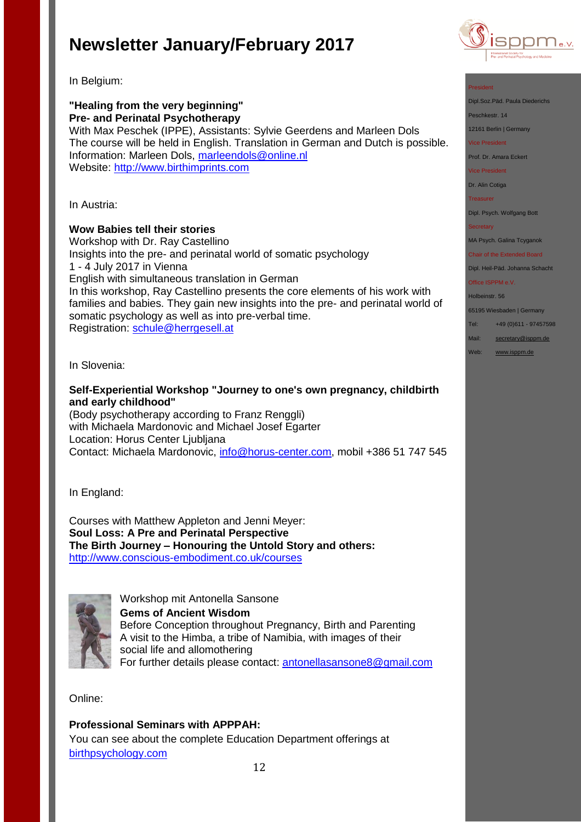

Dipl.Soz.Päd. Paula Diederichs

Dipl. Psych. Wolfgang Bott

MA Psych. Galina Tcyganok Chair of the Extended Board Dipl. Heil-Päd. Johanna Schacht

65195 Wiesbaden | Germany Tel: +49 (0)611 - 97457598 Mail: [secretary@isppm.de](mailto:secretary@isppm.de) Web: [www.isppm.de](http://www.isppm.de/)

**Secretary** 

Office ISPPM e.V. Holbeinstr. 56

President

Peschkestr. 14 12161 Berlin | Germany Vice President Prof. Dr. Amara Eckert Vice President Dr. Alin Cotiga Treasurer

In Belgium:

## **"Healing from the very beginning" Pre- and Perinatal Psychotherapy** With Max Peschek (IPPE), Assistants: Sylvie Geerdens and Marleen Dols

The course will be held in English. Translation in German and Dutch is possible. Information: Marleen Dols, [marleendols@online.nl](mailto:marleendols@online.nl) Website: [http://www.birthimprints.com](http://www.birthimprints.com/)

In Austria:

### **Wow Babies tell their stories**

Workshop with Dr. Ray Castellino Insights into the pre- and perinatal world of somatic psychology 1 - 4 July 2017 in Vienna English with simultaneous translation in German In this workshop, Ray Castellino presents the core elements of his work with families and babies. They gain new insights into the pre- and perinatal world of somatic psychology as well as into pre-verbal time. Registration: [schule@herrgesell.at](mailto:schule@herrgesell.at)

In Slovenia:

### **Self-Experiential Workshop "Journey to one's own pregnancy, childbirth and early childhood"**

(Body psychotherapy according to Franz Renggli) with Michaela Mardonovic and Michael Josef Egarter Location: Horus Center Ljubljana Contact: Michaela Mardonovic, [info@horus-center.com,](mailto:info@horus-center.com) mobil +386 51 747 545

In England:

Courses with Matthew Appleton and Jenni Meyer: **Soul Loss: A Pre and Perinatal Perspective The Birth Journey – Honouring the Untold Story and others:** <http://www.conscious-embodiment.co.uk/courses>



Workshop mit Antonella Sansone **Gems of Ancient Wisdom** Before Conception throughout Pregnancy, Birth and Parenting A visit to the Himba, a tribe of Namibia, with images of their social life and allomothering For further details please contact: [antonellasansone8@gmail.com](mailto:antonellasansone8@gmail.com) 

Online:

### **Professional Seminars with APPPAH:**

You can see about the complete Education Department offerings at [birthpsychology.com](http://birthpsychology.com/)